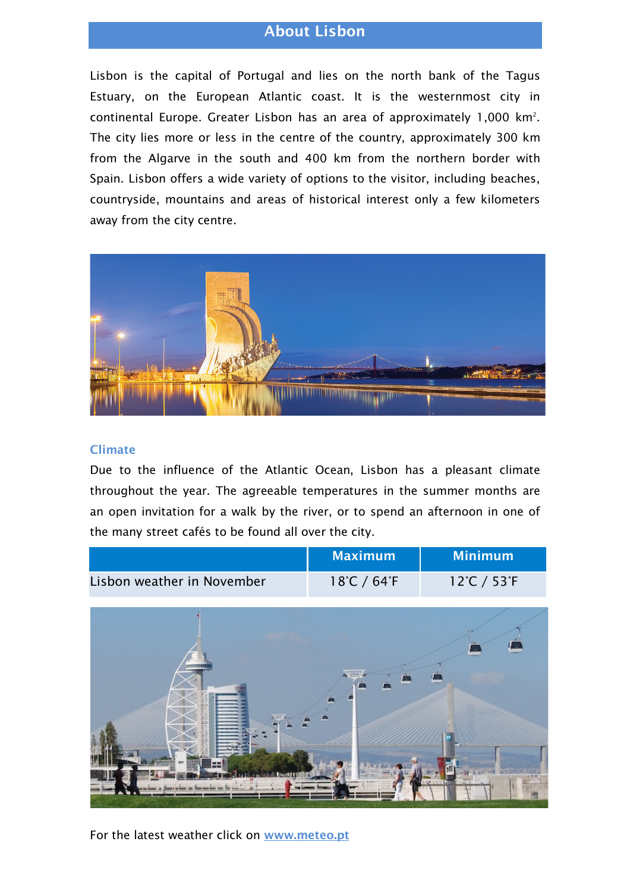# About Lisbon

Lisbon is the capital of Portugal and lies on the north bank of the Tagus Estuary, on the European Atlantic coast. It is the westernmost city in continental Europe. Greater Lisbon has an area of approximately 1,000 km2 . The city lies more or less in the centre of the country, approximately 300 km from the Algarve in the south and 400 km from the northern border with Spain. Lisbon offers a wide variety of options to the visitor, including beaches, countryside, mountains and areas of historical interest only a few kilometers away from the city centre.



### Climate

Due to the influence of the Atlantic Ocean, Lisbon has a pleasant climate throughout the year. The agreeable temperatures in the summer months are an open invitation for a walk by the river, or to spend an afternoon in one of the many street cafés to be found all over the city.

|                            | <b>Maximum</b>                   | Minimum                          |
|----------------------------|----------------------------------|----------------------------------|
| Lisbon weather in November | $18^{\circ}$ C / 64 $^{\circ}$ F | $12^{\circ}$ C / 53 $^{\circ}$ F |



For the latest weather click on www.meteo.pt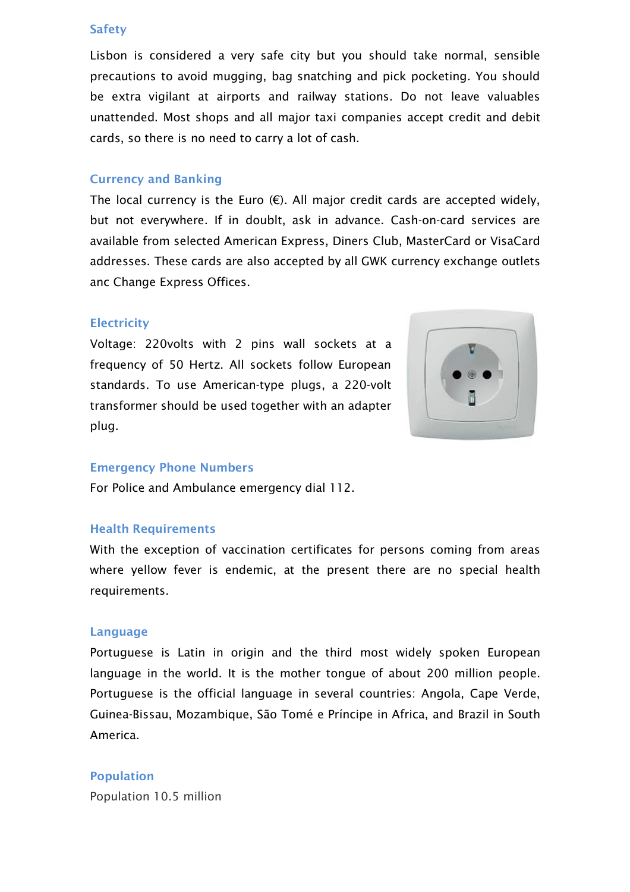#### **Safety**

Lisbon is considered a very safe city but you should take normal, sensible precautions to avoid mugging, bag snatching and pick pocketing. You should be extra vigilant at airports and railway stations. Do not leave valuables unattended. Most shops and all major taxi companies accept credit and debit cards, so there is no need to carry a lot of cash.

### Currency and Banking

The local currency is the Euro  $(E)$ . All major credit cards are accepted widely, but not everywhere. If in doublt, ask in advance. Cash-on-card services are available from selected American Express, Diners Club, MasterCard or VisaCard addresses. These cards are also accepted by all GWK currency exchange outlets anc Change Express Offices.

#### **Electricity**

Voltage: 220volts with 2 pins wall sockets at a frequency of 50 Hertz. All sockets follow European standards. To use American-type plugs, a 220-volt transformer should be used together with an adapter plug.



#### Emergency Phone Numbers

For Police and Ambulance emergency dial 112.

#### Health Requirements

With the exception of vaccination certificates for persons coming from areas where yellow fever is endemic, at the present there are no special health requirements.

#### Language

Portuguese is Latin in origin and the third most widely spoken European language in the world. It is the mother tongue of about 200 million people. Portuguese is the official language in several countries: Angola, Cape Verde, Guinea-Bissau, Mozambique, São Tomé e Príncipe in Africa, and Brazil in South America.

#### Population

Population 10.5 million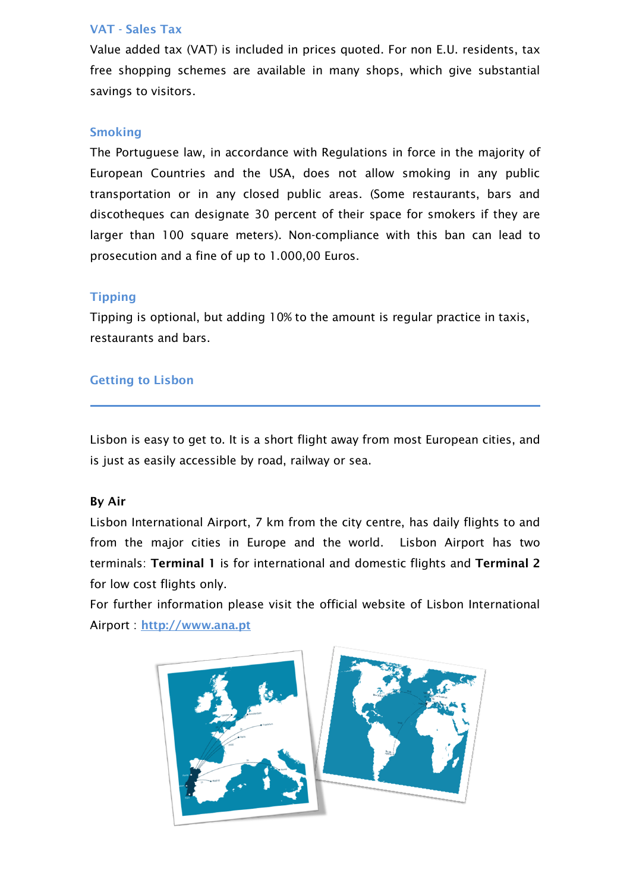# VAT - Sales Tax

Value added tax (VAT) is included in prices quoted. For non E.U. residents, tax free shopping schemes are available in many shops, which give substantial savings to visitors.

### Smoking

The Portuguese law, in accordance with Regulations in force in the majority of European Countries and the USA, does not allow smoking in any public transportation or in any closed public areas. (Some restaurants, bars and discotheques can designate 30 percent of their space for smokers if they are larger than 100 square meters). Non-compliance with this ban can lead to prosecution and a fine of up to 1.000,00 Euros.

### **Tipping**

Tipping is optional, but adding 10% to the amount is regular practice in taxis, restaurants and bars.

### Getting to Lisbon

Lisbon is easy to get to. It is a short flight away from most European cities, and is just as easily accessible by road, railway or sea.

# By Air

Lisbon International Airport, 7 km from the city centre, has daily flights to and from the major cities in Europe and the world. Lisbon Airport has two terminals: Terminal 1 is for international and domestic flights and Terminal 2 for low cost flights only.

For further information please visit the official website of Lisbon International Airport : http://www.ana.pt

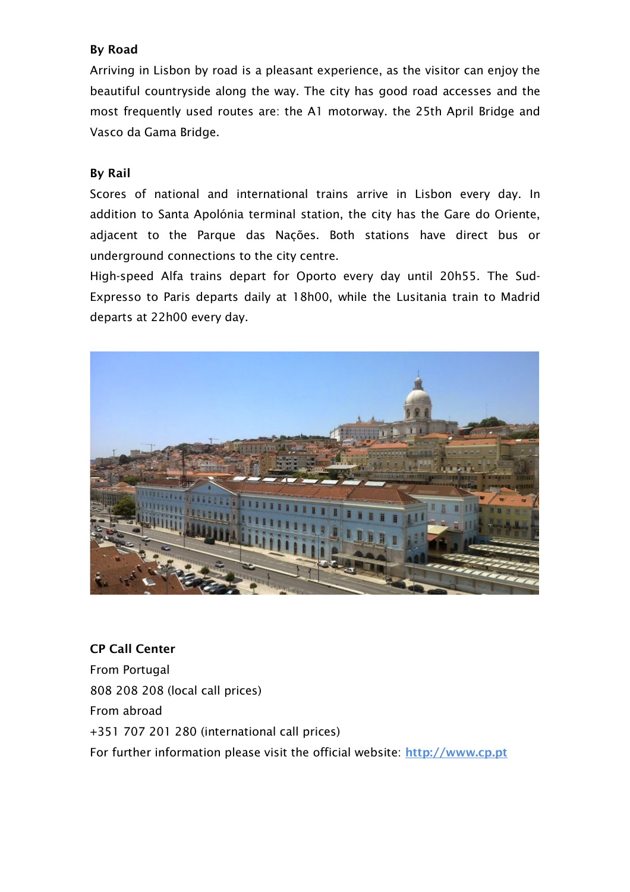# By Road

Arriving in Lisbon by road is a pleasant experience, as the visitor can enjoy the beautiful countryside along the way. The city has good road accesses and the most frequently used routes are: the A1 motorway. the 25th April Bridge and Vasco da Gama Bridge.

# By Rail

Scores of national and international trains arrive in Lisbon every day. In addition to Santa Apolónia terminal station, the city has the Gare do Oriente, adjacent to the Parque das Nações. Both stations have direct bus or underground connections to the city centre.

High-speed Alfa trains depart for Oporto every day until 20h55. The Sud-Expresso to Paris departs daily at 18h00, while the Lusitania train to Madrid departs at 22h00 every day.



CP Call Center From Portugal 808 208 208 (local call prices) From abroad +351 707 201 280 (international call prices) For further information please visit the official website: http://www.cp.pt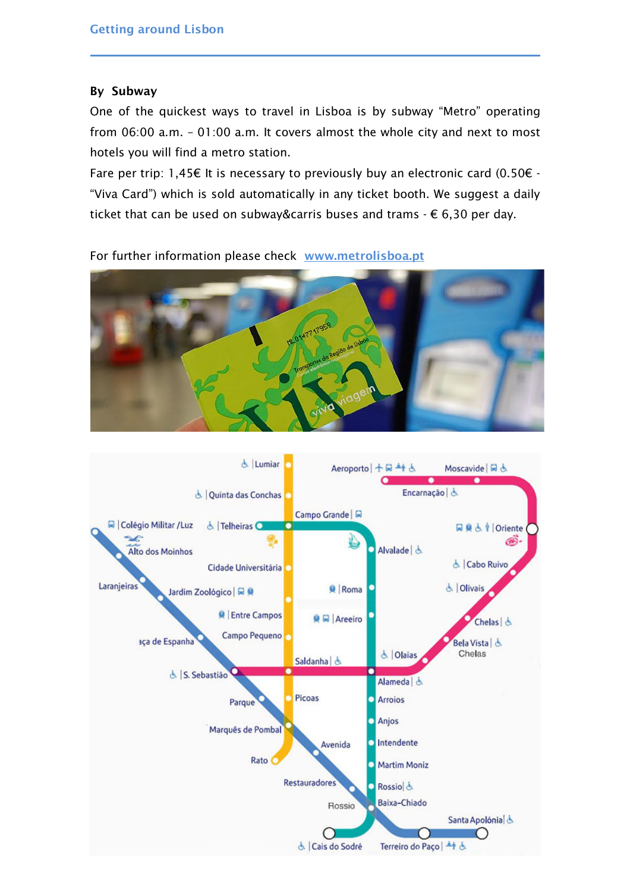# By Subway

One of the quickest ways to travel in Lisboa is by subway "Metro" operating from 06:00 a.m. – 01:00 a.m. It covers almost the whole city and next to most hotels you will find a metro station.

Fare per trip: 1,45 $\epsilon$  It is necessary to previously buy an electronic card (0.50 $\epsilon$  -"Viva Card") which is sold automatically in any ticket booth. We suggest a daily ticket that can be used on subway&carris buses and trams  $- \epsilon$  6,30 per day.



For further information please check www.metrolisboa.pt